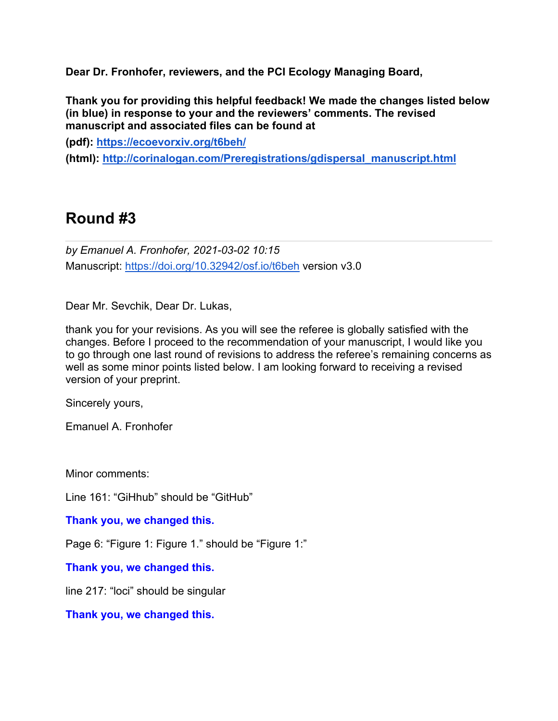**Dear Dr. Fronhofer, reviewers, and the PCI Ecology Managing Board,**

**Thank you for providing this helpful feedback! We made the changes listed below (in blue) in response to your and the reviewers' comments. The revised manuscript and associated files can be found at**

**(pdf): https://ecoevorxiv.org/t6beh/** 

**(html): http://corinalogan.com/Preregistrations/gdispersal\_manuscript.html**

# **Round #3**

*by Emanuel A. Fronhofer, 2021-03-02 10:15* Manuscript: https://doi.org/10.32942/osf.io/t6beh version v3.0

Dear Mr. Sevchik, Dear Dr. Lukas,

thank you for your revisions. As you will see the referee is globally satisfied with the changes. Before I proceed to the recommendation of your manuscript, I would like you to go through one last round of revisions to address the referee's remaining concerns as well as some minor points listed below. I am looking forward to receiving a revised version of your preprint.

Sincerely yours,

Emanuel A. Fronhofer

Minor comments:

Line 161: "GiHhub" should be "GitHub"

**Thank you, we changed this.**

Page 6: "Figure 1: Figure 1." should be "Figure 1:"

**Thank you, we changed this.**

line 217: "loci" should be singular

**Thank you, we changed this.**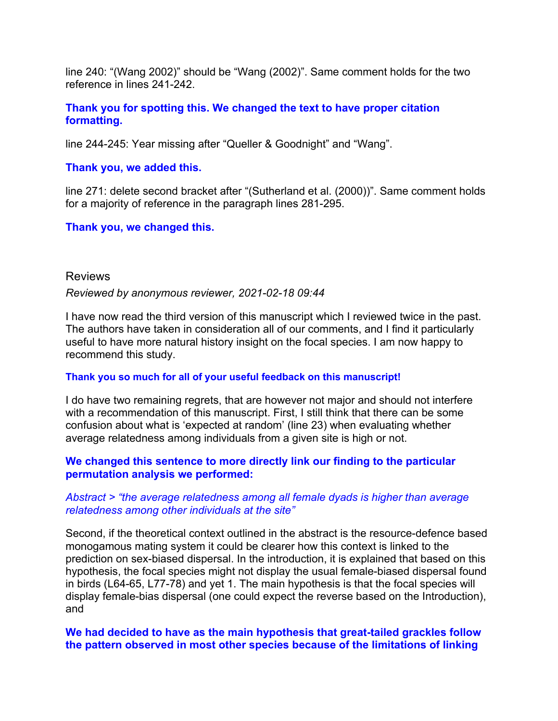line 240: "(Wang 2002)" should be "Wang (2002)". Same comment holds for the two reference in lines 241-242.

**Thank you for spotting this. We changed the text to have proper citation formatting.**

line 244-245: Year missing after "Queller & Goodnight" and "Wang".

## **Thank you, we added this.**

line 271: delete second bracket after "(Sutherland et al. (2000))". Same comment holds for a majority of reference in the paragraph lines 281-295.

# **Thank you, we changed this.**

## Reviews

#### *Reviewed by anonymous reviewer, 2021-02-18 09:44*

I have now read the third version of this manuscript which I reviewed twice in the past. The authors have taken in consideration all of our comments, and I find it particularly useful to have more natural history insight on the focal species. I am now happy to recommend this study.

#### **Thank you so much for all of your useful feedback on this manuscript!**

I do have two remaining regrets, that are however not major and should not interfere with a recommendation of this manuscript. First, I still think that there can be some confusion about what is 'expected at random' (line 23) when evaluating whether average relatedness among individuals from a given site is high or not.

# **We changed this sentence to more directly link our finding to the particular permutation analysis we performed:**

## *Abstract > "the average relatedness among all female dyads is higher than average relatedness among other individuals at the site"*

Second, if the theoretical context outlined in the abstract is the resource-defence based monogamous mating system it could be clearer how this context is linked to the prediction on sex-biased dispersal. In the introduction, it is explained that based on this hypothesis, the focal species might not display the usual female-biased dispersal found in birds (L64-65, L77-78) and yet 1. The main hypothesis is that the focal species will display female-bias dispersal (one could expect the reverse based on the Introduction), and

## **We had decided to have as the main hypothesis that great-tailed grackles follow the pattern observed in most other species because of the limitations of linking**